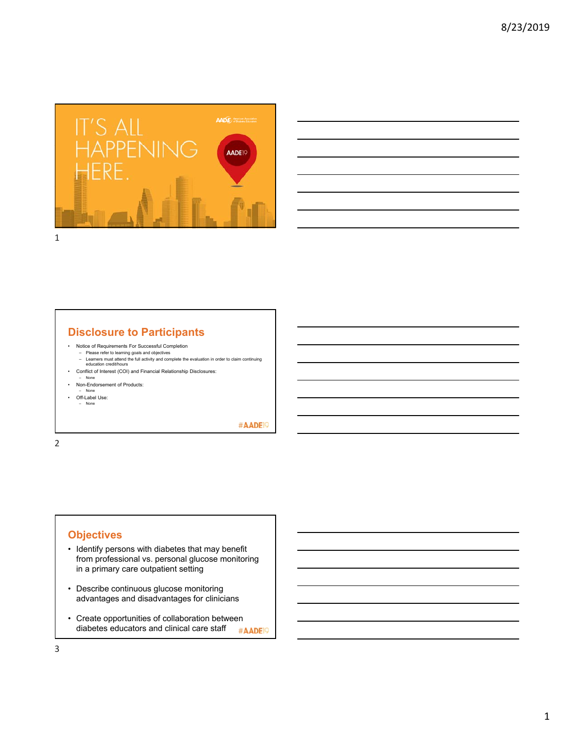

| <u> Andreas Andreas Andreas Andreas Andreas Andreas Andreas Andreas Andreas Andreas Andreas Andreas Andreas Andr</u><br>and the contract of the contract of the contract of the contract of the contract of the contract of the contract of<br>and the contract of the contract of the contract of the contract of the contract of the contract of the contract of<br><b>这个人的人都是一个人的人,就是一个人的人,就是一个人的人,就是一个人的人,就是一个人的人,就是一个人的人,就是一个人的人,就是一个人的人,就是一个人的人,</b> |  |
|------------------------------------------------------------------------------------------------------------------------------------------------------------------------------------------------------------------------------------------------------------------------------------------------------------------------------------------------------------------------------------------------------------------------------------------------------------|--|
|                                                                                                                                                                                                                                                                                                                                                                                                                                                            |  |
|                                                                                                                                                                                                                                                                                                                                                                                                                                                            |  |
|                                                                                                                                                                                                                                                                                                                                                                                                                                                            |  |
|                                                                                                                                                                                                                                                                                                                                                                                                                                                            |  |
|                                                                                                                                                                                                                                                                                                                                                                                                                                                            |  |
|                                                                                                                                                                                                                                                                                                                                                                                                                                                            |  |
|                                                                                                                                                                                                                                                                                                                                                                                                                                                            |  |
|                                                                                                                                                                                                                                                                                                                                                                                                                                                            |  |
|                                                                                                                                                                                                                                                                                                                                                                                                                                                            |  |
|                                                                                                                                                                                                                                                                                                                                                                                                                                                            |  |
|                                                                                                                                                                                                                                                                                                                                                                                                                                                            |  |
|                                                                                                                                                                                                                                                                                                                                                                                                                                                            |  |
|                                                                                                                                                                                                                                                                                                                                                                                                                                                            |  |
|                                                                                                                                                                                                                                                                                                                                                                                                                                                            |  |

## **Disclosure to Participants**

- Notice of Requirements For Successful Completion
	- Please refer to learning goals and objectives Learners must attend the full activity and complete the evaluation in order to claim continuing education credit/hours
- Conflict of Interest (COI) and Financial Relationship Disclosures:
- None • Non-Endorsement of Products:
- None
- Off-Label Use:
- None

#AADE<sup>19</sup>

2

## **Objectives**

- Identify persons with diabetes that may benefit from professional vs. personal glucose monitoring in a primary care outpatient setting
- Describe continuous glucose monitoring advantages and disadvantages for clinicians
- Create opportunities of collaboration between diabetes educators and clinical care staff #AADE<sup>19</sup>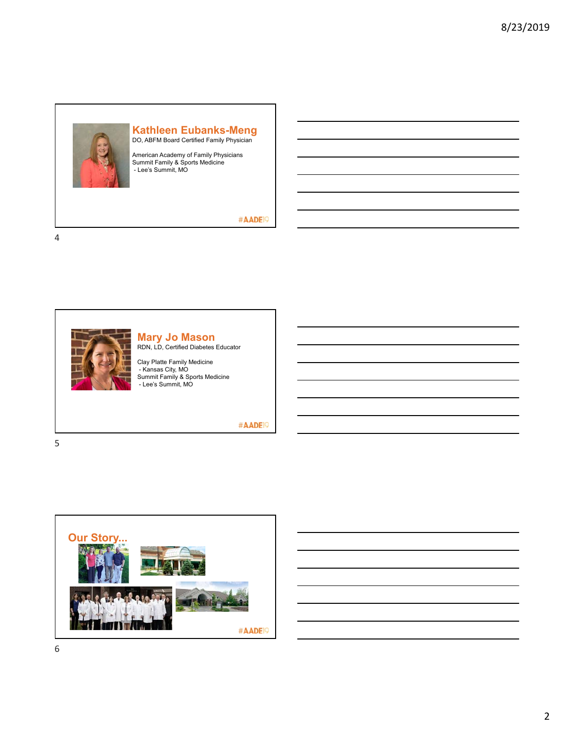

#### **Kathleen Eubanks-Meng** DO, ABFM Board Certified Family Physician

American Academy of Family Physicians Summit Family & Sports Medicine - Lee's Summit, MO

#### #AADE<sup>19</sup>

4

5



# **Mary Jo Mason**

RDN, LD, Certified Diabetes Educator

Clay Platte Family Medicine - Kansas City, MO Summit Family & Sports Medicine - Lee's Summit, MO

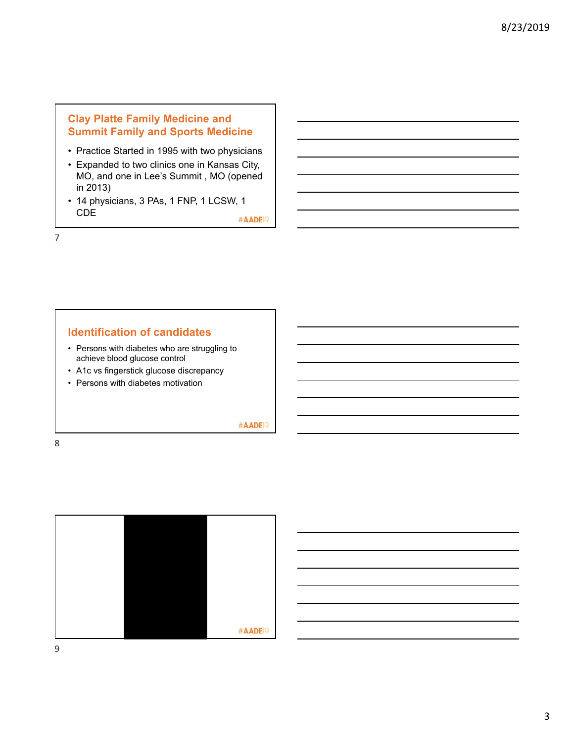# **Clay Platte Family Medicine and Summit Family and Sports Medicine**

- Practice Started in 1995 with two physicians
- Expanded to two clinics one in Kansas City, MO, and one in Lee's Summit , MO (opened in 2013)
- 14 physicians, 3 PAs, 1 FNP, 1 LCSW, 1 CDE

#AADE<sup>19</sup>

7

### **Identification of candidates**

- Persons with diabetes who are struggling to achieve blood glucose control
- A1c vs fingerstick glucose discrepancy
- Persons with diabetes motivation

#AADE<sup>19</sup>



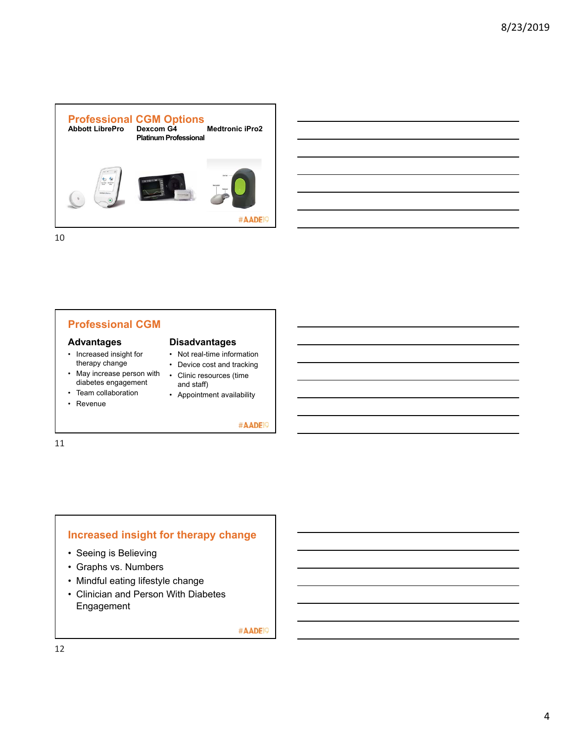

# **Professional CGM**

#### **Advantages**

- Increased insight for therapy change
- May increase person with Clinic resources (time diabetes engagement
- Team collaboration
- Revenue

11

#### **Disadvantages**

- Not real-time information
- Device cost and tracking
- and staff)
- Appointment availability

#AADE<sup>19</sup>

## **Increased insight for therapy change**

- Seeing is Believing
- Graphs vs. Numbers
- Mindful eating lifestyle change
- Clinician and Person With Diabetes Engagement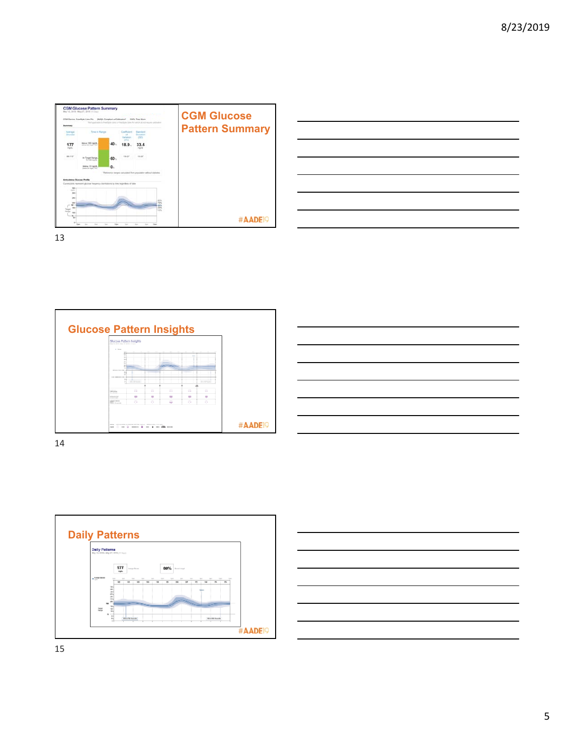





| $\overline{\phantom{a}}$                                                                                               |  |                                   |
|------------------------------------------------------------------------------------------------------------------------|--|-----------------------------------|
| and the contract of the contract of the contract of the contract of the contract of the contract of the contract of    |  |                                   |
|                                                                                                                        |  |                                   |
| and the contract of the contract of the contract of the contract of the contract of the contract of the contract of    |  | the control of the control of the |
|                                                                                                                        |  |                                   |
| <u> La componenta de la componenta de la componenta de la componenta de la componenta de la componenta de la compo</u> |  | _________                         |
|                                                                                                                        |  |                                   |
| and the contract of the contract of the contract of the contract of the contract of the contract of the contract of    |  |                                   |



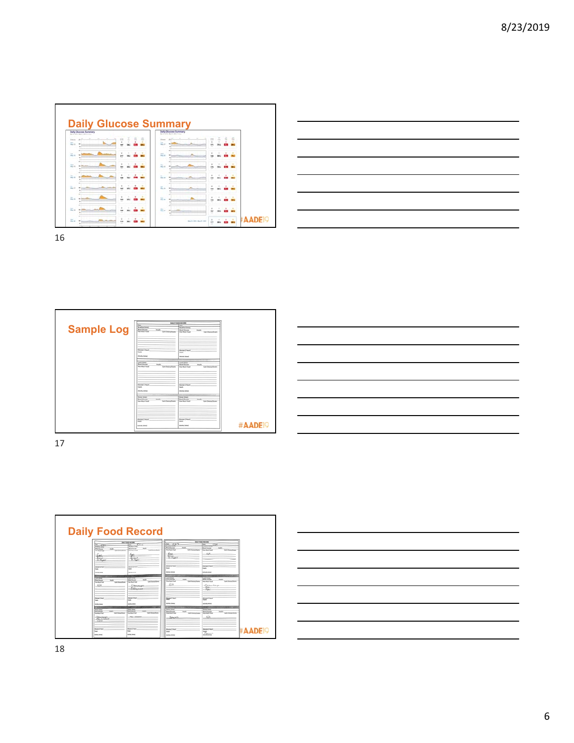





| $\overline{\phantom{a}}$ |                                                                                                                                                                                                                                      |  |                          |
|--------------------------|--------------------------------------------------------------------------------------------------------------------------------------------------------------------------------------------------------------------------------------|--|--------------------------|
|                          | <u>a sa sa salawan sa sana sa sana sa sana sa sana sa sana sa sana sa sana sa sana sa sana sa sana sa sana sa sa</u>                                                                                                                 |  |                          |
|                          |                                                                                                                                                                                                                                      |  |                          |
|                          |                                                                                                                                                                                                                                      |  | <b>Contract Contract</b> |
|                          |                                                                                                                                                                                                                                      |  |                          |
|                          | <u>state and the state of the state of the state of the state of the state of the state of the state of the state of the state of the state of the state of the state of the state of the state of the state of the state of the</u> |  |                          |
|                          |                                                                                                                                                                                                                                      |  |                          |
|                          |                                                                                                                                                                                                                                      |  |                          |

17

| <b>Daily Food Record</b>                                                                                                                                                                                                                                                                                                                                                                                                                                                                                                                                                                                                                                                                                 |                                                                                                                                                                                                                                                                                                                                                                                                                                                                                                                                                                                                                                                                                                              |
|----------------------------------------------------------------------------------------------------------------------------------------------------------------------------------------------------------------------------------------------------------------------------------------------------------------------------------------------------------------------------------------------------------------------------------------------------------------------------------------------------------------------------------------------------------------------------------------------------------------------------------------------------------------------------------------------------------|--------------------------------------------------------------------------------------------------------------------------------------------------------------------------------------------------------------------------------------------------------------------------------------------------------------------------------------------------------------------------------------------------------------------------------------------------------------------------------------------------------------------------------------------------------------------------------------------------------------------------------------------------------------------------------------------------------------|
| <b>Basic And American</b><br>57.00<br>÷<br>$\frac{39}{25666}$ $\frac{6}{256}$<br><b>Bearing Small</b><br><b>Black</b><br><b>Mand Grante</b><br><b>Ford Game</b><br>m<br><b>Galleries Avenue</b><br><b>Back Buch Ford</b><br>Lat. Department<br><b>The Building</b><br>trac.<br>坛<br>$-0.00000$<br>-Balcart<br>-Bacat.<br><b>Jr. France</b><br>- An Engrish<br><b>Surge 2 hours</b><br><b>State 2 hot</b><br><b>Sept.</b><br><b>Sept.</b><br><b>AGAN DOWN</b><br>Arlyn bear<br>table & States<br><b>LAST FIRE</b><br><b>But living</b><br>make.<br><b>Book Electric</b><br>make.<br><b>Lot Desertime</b><br><b>Brack Mark</b><br>Gets Demandtrams<br><b>Real Made Ford</b><br>AII8<br>Charamana<br>Essex. | <b><i>DALY RIGH BELIES</i></b><br>$\frac{3m}{2m}$ $\frac{5D^2}{2m}$<br>7/16<br><b>Seattles</b> Stated<br><b>Wood Engine</b><br><b>Bally</b><br><b>Book Support</b><br><b>Journal</b><br><b>Carl</b> Denvertising<br><b>Title Mark Ford</b><br>Let-Tenavirum<br><b>How Middle Ford</b><br>$-3.118$<br>$-506$<br><b>Dr. Espita</b><br>Glassen & bouck<br><b>Renault Nort</b><br><b>Started</b><br><b>Start</b><br>Article Initial<br>Article (more)<br><b>Lond Royal</b><br>and Jones<br><b>Food Sherway</b><br><b>Wanted Lineswork</b><br><b>THE OWNER</b><br><b>THE AREA</b><br><b>Nice Mark Real</b><br>Gets DemandScare<br>Carl Christmas Ricards<br><b>How Much Road</b><br>1/4<br>Chika Shiel<br>Total . |
| <b>Control Court</b><br><b>State 3 bluf</b><br><b>Khema Linkert</b><br><b>Supply</b><br><b>South</b><br>Arian book<br><b>Arizon Interest</b><br>Senat (Chief)<br><b>Bone Hour</b><br><b>Koor Davis</b><br><b>Hall</b><br><b>Black Surround</b><br><b>NATION</b><br>Get Department<br><b>Carl Thomas Room</b><br><b>Road Music Form</b><br><b>Star Mark Star</b><br><b>Burn Compt</b><br>Chevrolett<br><b>Chris A Channel</b><br><b>MADEC</b><br><b>Barnet Lincoln</b><br><b>Shown Literature</b><br><b>bak</b><br>leade<br>Article Integr<br><b>STAR-TOWN</b>                                                                                                                                            | -Fights<br><b>Shows Links</b><br><b>Electric 2 Newslet</b><br><b>STATE</b><br><b>South</b><br><b>Artists Incorp</b><br><b>Actually Cannell</b><br>Search Edge I<br><b>Joney Great</b><br><b>Book Course</b><br><b>Paulin</b><br><b>Burningen</b><br><b>Brandin</b><br>Get Duna Green<br><b>Carls Elhoramo Science</b><br><b>Size Work Ford</b><br><b>Ford Mode Ford</b><br>ALIA<br>صيحك<br><b>#AADEIG</b><br><b>During Chinat</b><br><b>Shares O'Mart</b><br>touch.<br><b>Pyron</b><br><b>Article Interior</b>                                                                                                                                                                                               |

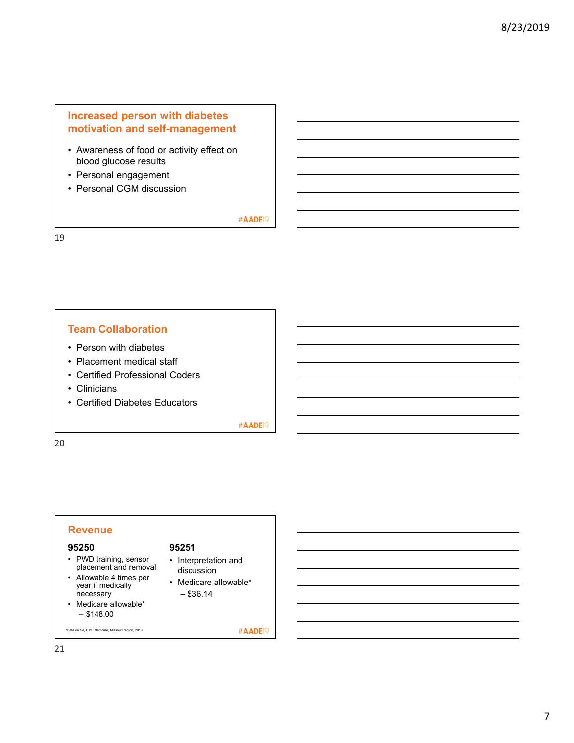## **Increased person with diabetes motivation and self-management**

- Awareness of food or activity effect on blood glucose results
- Personal engagement
- Personal CGM discussion

#AADE<sup>19</sup>

19

#### **Team Collaboration**

- Person with diabetes
- Placement medical staff
- Certified Professional Coders
- Clinicians
- Certified Diabetes Educators

#AADE<sup>19</sup>

20

### **Revenue**

#### **95250**

- PWD training, sensor placement and removal
- Allowable 4 times per year if medically
- necessary • Medicare allowable\*  $-$  \$148.00

#### **95251**

- Interpretation and discussion
- Medicare allowable\*  $-$  \$36.14
- 

\*Data on file, CMS Medicare, Missouri region, 2019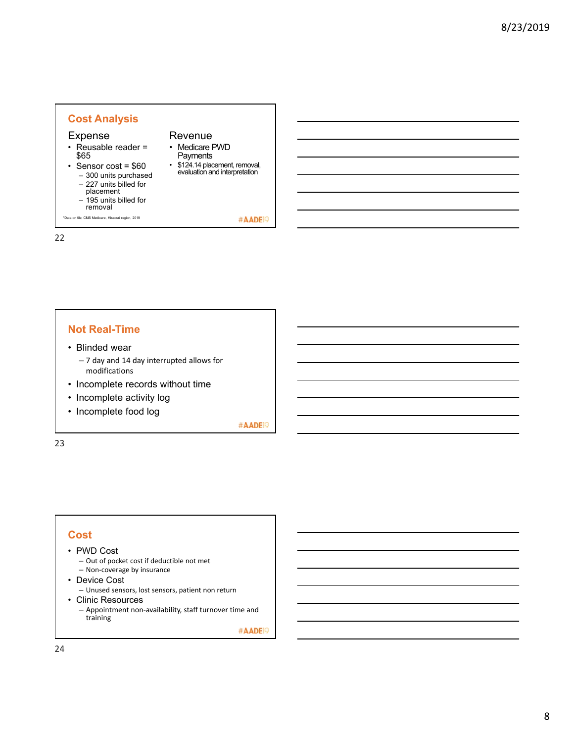#### **Cost Analysis** Expense Revenue • Reusable reader = • Medicare PWD \$65 **Payments** • Sensor cost =  $$60$ • \$124.14 placement, removal, evaluation and interpretation – 300 units purchased – 227 units billed for placement – 195 units billed for removal \*Data on file, CMS Medicare, Missouri region, 2019 #AADE<sup>19</sup>

### **Not Real-Time**

- Blinded wear
	- 7 day and 14 day interrupted allows for modifications
- Incomplete records without time
- Incomplete activity log
- Incomplete food log

#AADE<sup>19</sup>

23

22

#### **Cost**

#### • PWD Cost

- Out of pocket cost if deductible not met
- Non‐coverage by insurance
- Device Cost
- Unused sensors, lost sensors, patient non return
- Clinic Resources
	- Appointment non‐availability, staff turnover time and training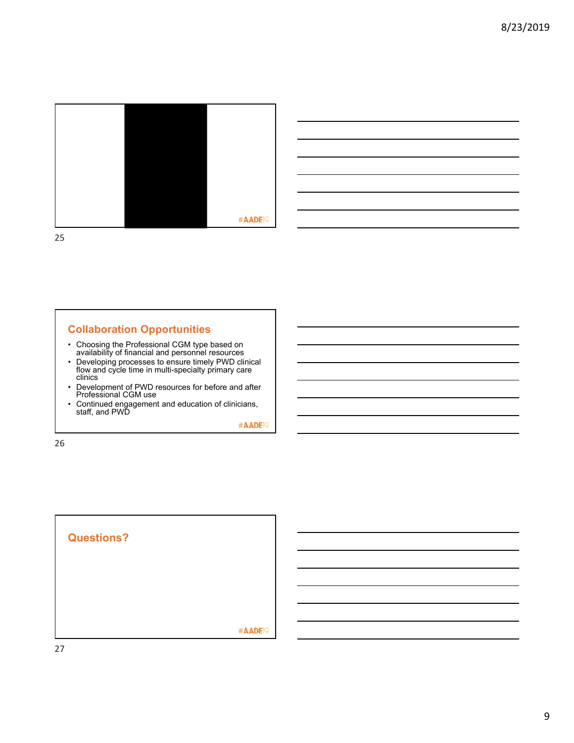



## **Collaboration Opportunities**

- Choosing the Professional CGM type based on availability of financial and personnel resources
- Developing processes to ensure timely PWD clinical flow and cycle time in multi-specialty primary care clinics
- Development of PWD resources for before and after Professional CGM use
- Continued engagement and education of clinicians, staff, and PWD

#AADE<sup>19</sup>